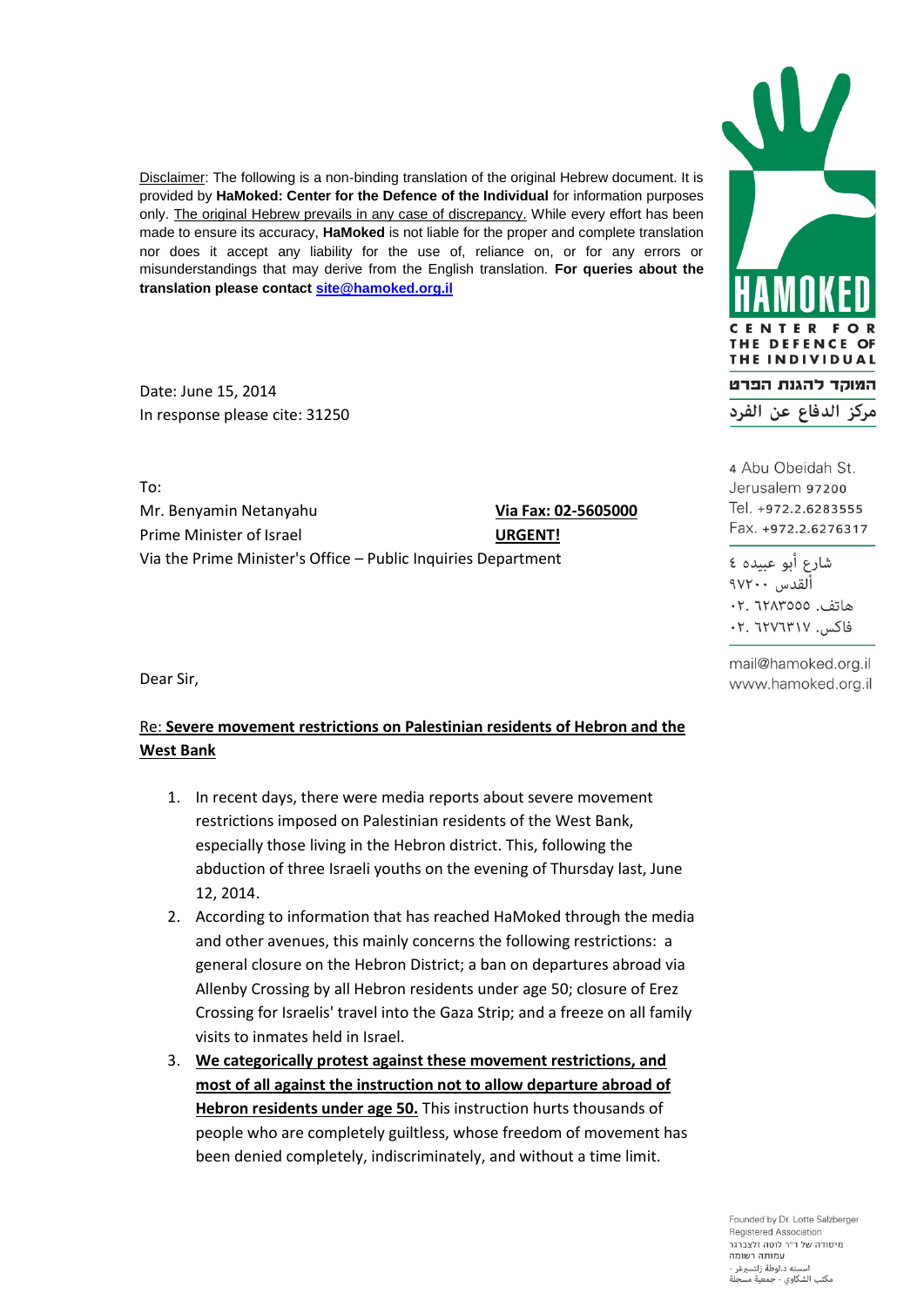Disclaimer: The following is a non-binding translation of the original Hebrew document. It is provided by **HaMoked: Center for the Defence of the Individual** for information purposes only. The original Hebrew prevails in any case of discrepancy. While every effort has been made to ensure its accuracy, **HaMoked** is not liable for the proper and complete translation nor does it accept any liability for the use of, reliance on, or for any errors or misunderstandings that may derive from the English translation. **For queries about the translation please contac[t site@hamoked.org.il](mailto:site@hamoked.org.il)**

Date: June 15, 2014 In response please cite: 31250

To: Mr. Benyamin Netanyahu **Via Fax: 02-5605000** Prime Minister of Israel **URGENT!** Via the Prime Minister's Office – Public Inquiries Department

Dear Sir,

## Re: **Severe movement restrictions on Palestinian residents of Hebron and the West Bank**

- 1. In recent days, there were media reports about severe movement restrictions imposed on Palestinian residents of the West Bank, especially those living in the Hebron district. This, following the abduction of three Israeli youths on the evening of Thursday last, June 12, 2014.
- 2. According to information that has reached HaMoked through the media and other avenues, this mainly concerns the following restrictions: a general closure on the Hebron District; a ban on departures abroad via Allenby Crossing by all Hebron residents under age 50; closure of Erez Crossing for Israelis' travel into the Gaza Strip; and a freeze on all family visits to inmates held in Israel.
- 3. **We categorically protest against these movement restrictions, and most of all against the instruction not to allow departure abroad of Hebron residents under age 50.** This instruction hurts thousands of people who are completely guiltless, whose freedom of movement has been denied completely, indiscriminately, and without a time limit.



4 Abu Obeidah St. Jerusalem 97200 Tel. +972.2.6283555 Fax. +972.2.6276317

شارع أبو عبيده ٤ اُلقدس ۱۷۲۰۰ هاتف. ١٢٨٣٥٥٥: ٠٢. فاكس. ٢٠٧٦٣١٧. ٢٠

mail@hamoked.org.il www.hamoked.org.il

Founded by Dr. Lotte Salzberger Registered Association מיסודה של ד"ר לוטה זלצברגר עמותה רשומה لته د.لوطة زلتسبرغر مكتب الشكاوي - جمعية مسجلة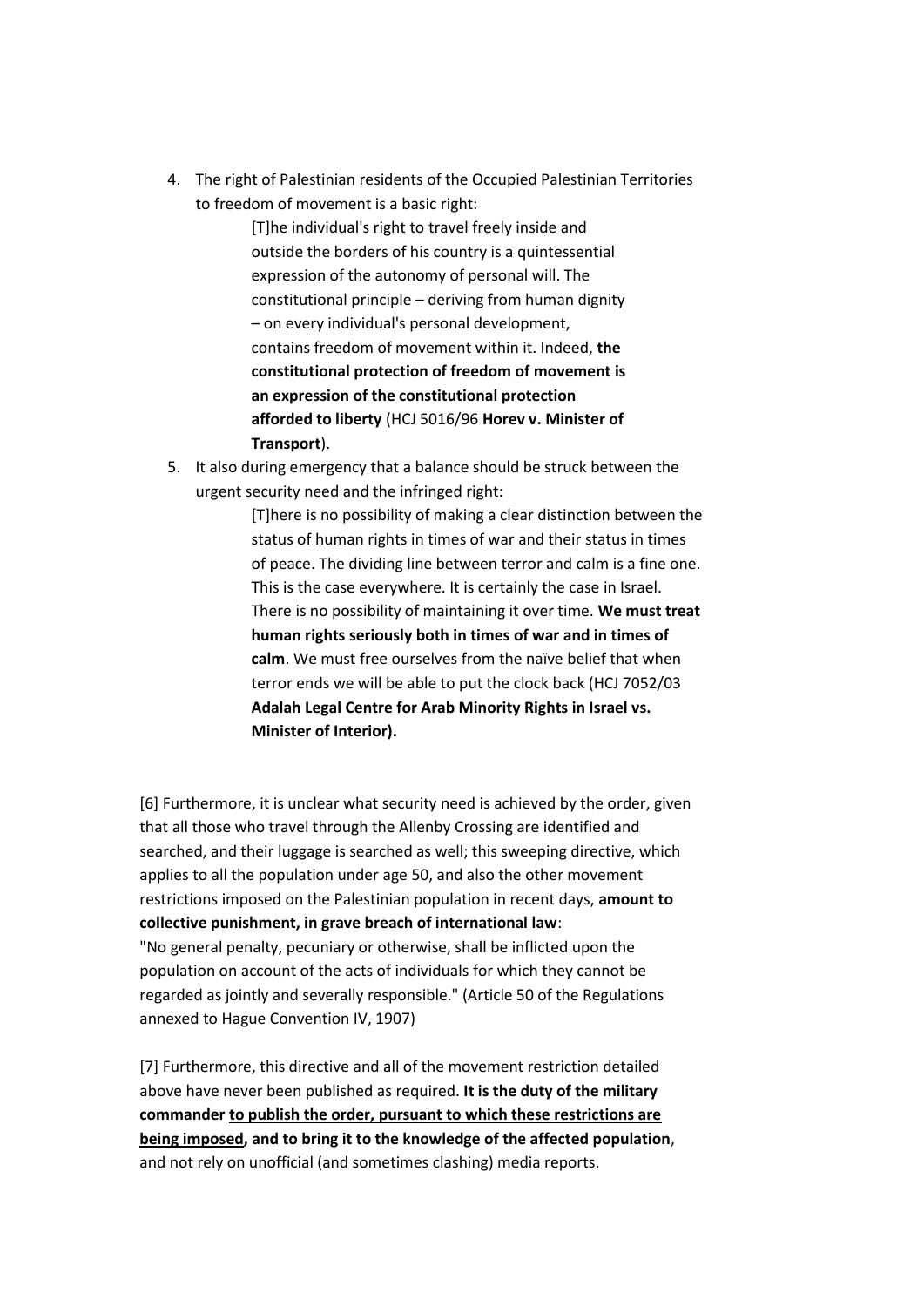4. The right of Palestinian residents of the Occupied Palestinian Territories to freedom of movement is a basic right:

> [T]he individual's right to travel freely inside and outside the borders of his country is a quintessential expression of the autonomy of personal will. The constitutional principle – deriving from human dignity – on every individual's personal development, contains freedom of movement within it. Indeed, **the constitutional protection of freedom of movement is an expression of the constitutional protection afforded to liberty** (HCJ 5016/96 **Horev v. Minister of Transport**).

5. It also during emergency that a balance should be struck between the urgent security need and the infringed right:

> [T]here is no possibility of making a clear distinction between the status of human rights in times of war and their status in times of peace. The dividing line between terror and calm is a fine one. This is the case everywhere. It is certainly the case in Israel. There is no possibility of maintaining it over time. **We must treat human rights seriously both in times of war and in times of calm**. We must free ourselves from the naïve belief that when terror ends we will be able to put the clock back (HCJ 7052/03 **Adalah Legal Centre for Arab Minority Rights in Israel vs. Minister of Interior).**

[6] Furthermore, it is unclear what security need is achieved by the order, given that all those who travel through the Allenby Crossing are identified and searched, and their luggage is searched as well; this sweeping directive, which applies to all the population under age 50, and also the other movement restrictions imposed on the Palestinian population in recent days, **amount to collective punishment, in grave breach of international law**: "No general penalty, pecuniary or otherwise, shall be inflicted upon the population on account of the acts of individuals for which they cannot be regarded as jointly and severally responsible." (Article 50 of the Regulations annexed to Hague Convention IV, 1907)

[7] Furthermore, this directive and all of the movement restriction detailed above have never been published as required. **It is the duty of the military commander to publish the order, pursuant to which these restrictions are being imposed, and to bring it to the knowledge of the affected population**, and not rely on unofficial (and sometimes clashing) media reports.